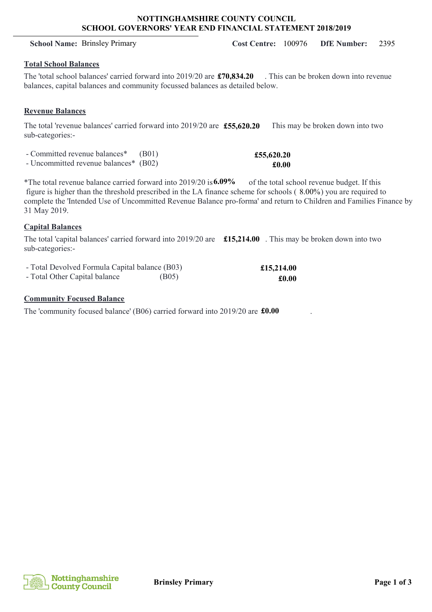### **NOTTINGHAMSHIRE COUNTY COUNCIL SCHOOL GOVERNORS' YEAR END FINANCIAL STATEMENT 2018/2019**

# **Total School Balances**

The 'total school balances' carried forward into 2019/20 are  $£70,834.20$ . This can be broken down into revenue balances, capital balances and community focussed balances as detailed below.

# **Revenue Balances**

The total 'revenue balances' carried forward into 2019/20 are **£55,620.20** Ihis may be broken down into two sub-categories:-

- Committed revenue balances\* (B01)

- Uncommitted revenue balances\* (B02)

\*The total revenue balance carried forward into 2019/20 is **6.09%** of the total school revenue budget. If this figure is higher than the threshold prescribed in the LA finance scheme for schools  $(8.00\%)$  you are required to complete the 'Intended Use of Uncommitted Revenue Balance pro-forma' and return to Children and Families Finance by 31 May 2019.

# **Capital Balances**

The total 'capital balances' carried forward into 2019/20 are **£15,214.00**. This may be broken down into two sub-categories:-

| - Total Devolved Formula Capital balance (B03) |       | £15,214.0 |
|------------------------------------------------|-------|-----------|
| - Total Other Capital balance                  | (B05) | £0.0      |

# **Community Focused Balance**

The 'community focused balance' (B06) carried forward into 2019/20 are  $\text{\textsterling}0.00$ 



 $\overline{10}$ **£0.00**

**£55,620.20 £0.00**

**School Name:** Brinsley Primary **Cost Centre:** 100976 **DfE Number:** 2395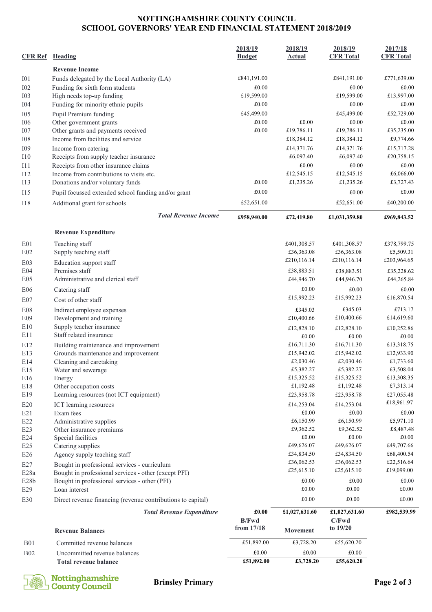#### **NOTTINGHAMSHIRE COUNTY COUNCIL SCHOOL GOVERNORS' YEAR END FINANCIAL STATEMENT 2018/2019**

| <b>CFR Ref</b>                        | Heading                                                                                               | 2018/19<br><b>Budget</b>   | 2018/19<br><b>Actual</b> | 2018/19<br><b>CFR Total</b> | 2017/18<br><b>CFR Total</b> |
|---------------------------------------|-------------------------------------------------------------------------------------------------------|----------------------------|--------------------------|-----------------------------|-----------------------------|
|                                       | <b>Revenue Income</b>                                                                                 |                            |                          |                             |                             |
| I <sub>01</sub>                       | Funds delegated by the Local Authority (LA)                                                           | £841,191.00                |                          | £841,191.00                 | £771,639.00                 |
| I02                                   | Funding for sixth form students                                                                       | £0.00                      |                          | £0.00                       | £0.00                       |
| I <sub>03</sub>                       | High needs top-up funding                                                                             | £19,599.00                 |                          | £19,599.00                  | £13,997.00                  |
| <b>I04</b>                            | Funding for minority ethnic pupils                                                                    | £0.00                      |                          | £0.00                       | £0.00                       |
| I05                                   | Pupil Premium funding                                                                                 | £45,499.00                 |                          | £45,499.00                  | £52,729.00                  |
| <b>I06</b>                            | Other government grants                                                                               | £0.00                      | £0.00                    | £0.00                       | £0.00                       |
| I07                                   | Other grants and payments received                                                                    | £0.00                      | £19,786.11               | £19,786.11                  | £35,235.00                  |
| ${\rm I}08$                           | Income from facilities and service                                                                    |                            | £18,384.12               | £18,384.12                  | £9,774.66                   |
| I09                                   | Income from catering                                                                                  |                            | £14,371.76               | £14,371.76                  | £15,717.28                  |
| I10                                   | Receipts from supply teacher insurance                                                                |                            | £6,097.40                | £6,097.40                   | £20,758.15                  |
| I11                                   | Receipts from other insurance claims                                                                  |                            | £0.00                    | £0.00                       | £0.00                       |
| I12                                   | Income from contributions to visits etc.                                                              |                            | £12,545.15               | £12,545.15                  | £6,066.00                   |
| <b>I13</b>                            | Donations and/or voluntary funds                                                                      | £0.00                      | £1,235.26                | £1,235.26                   | £3,727.43                   |
| I15                                   | Pupil focussed extended school funding and/or grant                                                   | £0.00                      |                          | £0.00                       | £0.00                       |
| <b>I18</b>                            | Additional grant for schools                                                                          | £52,651.00                 |                          | £52,651.00                  | £40,200.00                  |
|                                       | <b>Total Revenue Income</b>                                                                           | £958,940.00                | £72,419.80               | £1,031,359.80               | £969,843.52                 |
|                                       | <b>Revenue Expenditure</b>                                                                            |                            |                          |                             |                             |
| E <sub>01</sub>                       | Teaching staff                                                                                        |                            | £401,308.57              | £401,308.57                 | £378,799.75                 |
| E02                                   | Supply teaching staff                                                                                 |                            | £36,363.08               | £36,363.08                  | £5,509.31                   |
| E03                                   | Education support staff                                                                               |                            | £210,116.14              | £210,116.14                 | £203,964.65                 |
| E04                                   | Premises staff                                                                                        |                            | £38,883.51               | £38,883.51                  | £35,228.62                  |
| E05                                   | Administrative and clerical staff                                                                     |                            | £44,946.70               | £44,946.70                  | £44,265.84                  |
| E06                                   | Catering staff                                                                                        |                            | £0.00                    | £0.00                       | £0.00                       |
| E07                                   | Cost of other staff                                                                                   |                            | £15,992.23               | £15,992.23                  | £16,870.54                  |
| <b>E08</b>                            | Indirect employee expenses                                                                            |                            | £345.03                  | £345.03                     | £713.17                     |
| E09                                   | Development and training                                                                              |                            | £10,400.66               | £10,400.66                  | £14,619.60                  |
| E10                                   | Supply teacher insurance                                                                              |                            | £12,828.10               | £12,828.10                  | £10,252.86                  |
| E11                                   | Staff related insurance                                                                               |                            | £0.00                    | £0.00                       | £0.00                       |
| E12                                   | Building maintenance and improvement                                                                  |                            | £16,711.30               | £16,711.30                  | £13,318.75                  |
| E13                                   | Grounds maintenance and improvement                                                                   |                            | £15,942.02               | £15,942.02                  | £12,933.90                  |
| E14                                   | Cleaning and caretaking                                                                               |                            | £2,030.46                | £2,030.46                   | £1,733.60                   |
| E15                                   | Water and sewerage                                                                                    |                            | £5,382.27                | £5,382.27                   | £3,508.04                   |
| E16                                   | Energy                                                                                                |                            | £15,325.52               | £15,325.52                  | £13,308.35                  |
| E18                                   | Other occupation costs                                                                                |                            | £1,192.48                | £1,192.48                   | £7,313.14                   |
| E19                                   | Learning resources (not ICT equipment)                                                                |                            | £23,958.78               | £23,958.78                  | £27,055.48                  |
| E20                                   | ICT learning resources                                                                                |                            | £14,253.04               | £14,253.04                  | £18,961.97                  |
| E21                                   | Exam fees                                                                                             |                            | £0.00                    | £0.00                       | £0.00                       |
| E22                                   | Administrative supplies                                                                               |                            | £6,150.99                | £6,150.99                   | £5,971.10                   |
| E23                                   | Other insurance premiums                                                                              |                            | £9,362.52                | £9,362.52                   | £8,487.48                   |
| E24                                   | Special facilities                                                                                    |                            | £0.00<br>£49,626.07      | £0.00<br>£49,626.07         | £0.00<br>£49,707.66         |
| E25<br>E26                            | Catering supplies<br>Agency supply teaching staff                                                     |                            | £34,834.50               | £34,834.50                  | £68,400.54                  |
|                                       |                                                                                                       |                            | £36,062.53               | £36,062.53                  | £22,516.64                  |
| E27                                   | Bought in professional services - curriculum                                                          |                            | £25,615.10               | £25,615.10                  | £19,099.00                  |
| E <sub>28a</sub><br>E <sub>28</sub> b | Bought in professional services - other (except PFI)<br>Bought in professional services - other (PFI) |                            | £0.00                    | £0.00                       | £0.00                       |
| E29                                   | Loan interest                                                                                         |                            | £0.00                    | £0.00                       | £0.00                       |
| E30                                   | Direct revenue financing (revenue contributions to capital)                                           |                            | £0.00                    | £0.00                       | £0.00                       |
|                                       | <b>Total Revenue Expenditure</b>                                                                      | £0.00                      | £1,027,631.60            | £1,027,631.60               | £982,539.99                 |
|                                       | <b>Revenue Balances</b>                                                                               | <b>B/Fwd</b><br>from 17/18 | Movement                 | C/Fwd<br>to 19/20           |                             |
| <b>B01</b>                            | Committed revenue balances                                                                            | £51,892.00                 | £3,728.20                | £55,620.20                  |                             |
| B02                                   | Uncommitted revenue balances                                                                          | £0.00                      | £0.00                    | £0.00                       |                             |
|                                       | <b>Total revenue balance</b>                                                                          | £51,892.00                 | £3,728.20                | £55,620.20                  |                             |